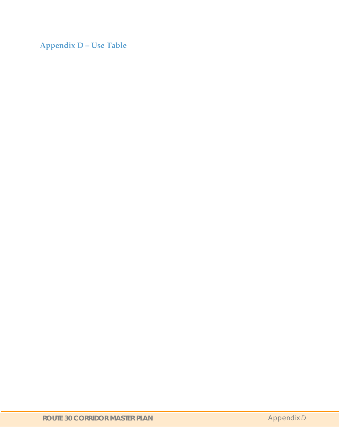**Appendix D – Use Table**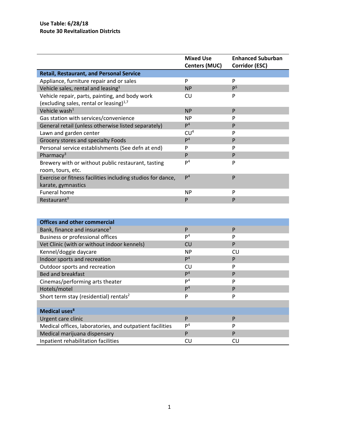|                                                             | <b>Mixed Use</b><br><b>Centers (MUC)</b> | <b>Enhanced Suburban</b><br><b>Corridor (ESC)</b> |
|-------------------------------------------------------------|------------------------------------------|---------------------------------------------------|
| <b>Retail, Restaurant, and Personal Service</b>             |                                          |                                                   |
| Appliance, furniture repair and or sales                    | P                                        | P                                                 |
| Vehicle sales, rental and leasing $1$                       | <b>NP</b>                                | P <sup>5</sup>                                    |
| Vehicle repair, parts, painting, and body work              | <b>CU</b>                                | P                                                 |
| (excluding sales, rental or leasing) <sup>1,7</sup>         |                                          |                                                   |
| Vehicle wash <sup>1</sup>                                   | <b>NP</b>                                | P                                                 |
| Gas station with services/convenience                       | <b>NP</b>                                | P                                                 |
| General retail (unless otherwise listed separately)         | P <sup>4</sup>                           | P                                                 |
| Lawn and garden center                                      | CU <sup>4</sup>                          | P                                                 |
| Grocery stores and specialty Foods                          | P <sup>4</sup>                           | P                                                 |
| Personal service establishments (See defn at end)           | P                                        | P                                                 |
| Pharmacy <sup>3</sup>                                       | P                                        | P                                                 |
| Brewery with or without public restaurant, tasting          | P <sup>4</sup>                           | P                                                 |
| room, tours, etc.                                           |                                          |                                                   |
| Exercise or fitness facilities including studios for dance, | P <sup>4</sup>                           | P                                                 |
| karate, gymnastics                                          |                                          |                                                   |
| Funeral home                                                | <b>NP</b>                                | P                                                 |
| Restaurant <sup>3</sup>                                     | P                                        | P                                                 |
|                                                             |                                          |                                                   |
| <b>Offices and other commercial</b>                         |                                          |                                                   |
| Bank, finance and insurance <sup>3</sup>                    | P                                        | P                                                 |
| Business or professional offices                            | $\mathsf{P}^4$                           | P                                                 |
| Vet Clinic (with or without indoor kennels)                 | CU                                       | P                                                 |
| Kennel/doggie daycare                                       | <b>NP</b>                                | CU                                                |
| Indoor sports and recreation                                | P <sup>4</sup>                           | ${\sf P}$                                         |
| Outdoor sports and recreation                               | <b>CU</b>                                | P                                                 |
| <b>Bed and breakfast</b>                                    | P <sup>4</sup>                           | P                                                 |
| Cinemas/performing arts theater                             | P <sup>4</sup>                           | P                                                 |
| Hotels/motel                                                | P <sup>4</sup>                           | P                                                 |
|                                                             |                                          |                                                   |

| Short term stay (residential) rentals <sup>2</sup>       |                |  |
|----------------------------------------------------------|----------------|--|
|                                                          |                |  |
| Medical uses <sup>8</sup>                                |                |  |
| Urgent care clinic                                       |                |  |
| Medical offices, laboratories, and outpatient facilities | $\mathsf{D}^4$ |  |
| Medical marijuana dispensary                             |                |  |
| Inpatient rehabilitation facilities                      |                |  |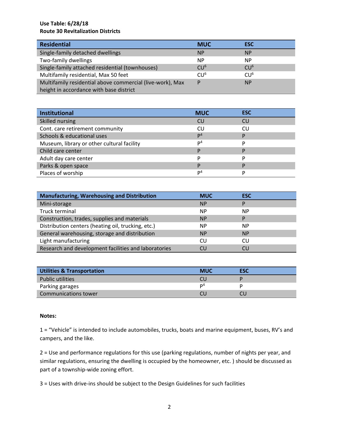## **Use Table: 6/28/18 Route 30 Revitalization Districts**

| <b>Residential</b>                                        | <b>MUC</b>      | <b>ESC</b>      |
|-----------------------------------------------------------|-----------------|-----------------|
| Single-family detached dwellings                          | <b>NP</b>       | <b>NP</b>       |
| Two-family dwellings                                      | <b>NP</b>       | NP.             |
| Single-family attached residential (townhouses)           | CU <sup>6</sup> | CU <sup>6</sup> |
| Multifamily residential, Max 50 feet                      | CU <sup>6</sup> | CU <sup>6</sup> |
| Multifamily residential above commercial (live-work), Max | D               | <b>NP</b>       |
| height in accordance with base district                   |                 |                 |

| <b>Institutional</b>                       | <b>MUC</b>     | <b>ESC</b> |
|--------------------------------------------|----------------|------------|
| Skilled nursing                            | CU             | CU         |
| Cont. care retirement community            | CU             | CU         |
| Schools & educational uses                 | D <sup>4</sup> | D          |
| Museum, library or other cultural facility | D <sup>4</sup> | D          |
| Child care center                          | D              | D          |
| Adult day care center                      | D              |            |
| Parks & open space                         | D              | D          |
| Places of worship                          | D <sup>4</sup> | D          |

| <b>Manufacturing, Warehousing and Distribution</b>   | <b>MUC</b> | <b>ESC</b> |  |
|------------------------------------------------------|------------|------------|--|
| Mini-storage                                         | <b>NP</b>  |            |  |
| Truck terminal                                       | <b>NP</b>  | <b>NP</b>  |  |
| Construction, trades, supplies and materials         | <b>NP</b>  | D          |  |
| Distribution centers (heating oil, trucking, etc.)   | <b>NP</b>  | <b>NP</b>  |  |
| General warehousing, storage and distribution        | <b>NP</b>  | <b>NP</b>  |  |
| Light manufacturing                                  | CU         | CU         |  |
| Research and development facilities and laboratories | CU         | CU         |  |

| <b>Utilities &amp; Transportation</b> | <b>MUC</b>     | ESC |
|---------------------------------------|----------------|-----|
| <b>Public utilities</b>               |                |     |
| Parking garages                       | D <sup>4</sup> |     |
| Communications tower                  |                |     |

## **Notes:**

1 = "Vehicle" is intended to include automobiles, trucks, boats and marine equipment, buses, RV's and campers, and the like.

2 = Use and performance regulations for this use (parking regulations, number of nights per year, and similar regulations, ensuring the dwelling is occupied by the homeowner, etc. ) should be discussed as part of a township-wide zoning effort.

3 = Uses with drive-ins should be subject to the Design Guidelines for such facilities